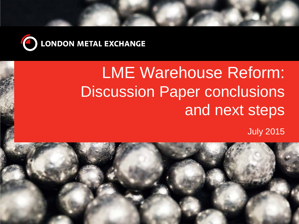

# LME Warehouse Reform: Discussion Paper conclusions and next steps

July 2015

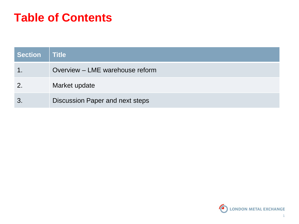### **Table of Contents**

| <b>Section</b> | <b>Title</b>                    |
|----------------|---------------------------------|
|                | Overview – LME warehouse reform |
| 2.             | Market update                   |
| 3              | Discussion Paper and next steps |

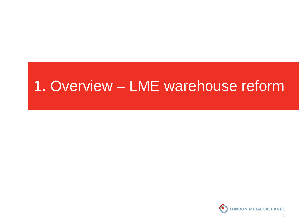## 1. Overview – LME warehouse reform

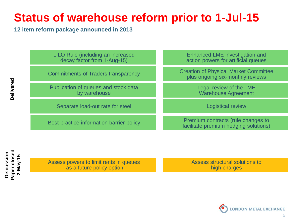### **Status of warehouse reform prior to 1-Jul-15**

**12 item reform package announced in 2013**

LILO Rule (including an increased decay factor from 1-Aug-15)

Enhanced Lines in the Commitments of Traders transnarency Commitments of Traders transparency

> Separation of quedes and stock diversion of  $\theta$ Publication of queues and stock data

Separate load-out rate for steel

Best-practice information barrier policy

Enhanced LME investigation and action powers for artificial queues

Creation of Physical Market Committee plus ongoing six-monthly reviews

> Legal review of the LME Warehouse Agreement

> > Logistical review

Premium contracts (rule changes to facilitate premium hedging solutions)

**Paper closed**  Paper closed **Discussion**  Discussion **2-May-15**

Assess powers to limit rents in queues as a future policy option

Assess structural solutions to high charges

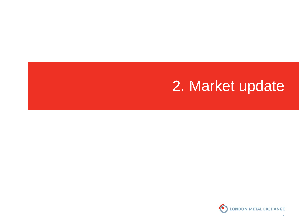## 2. Market update

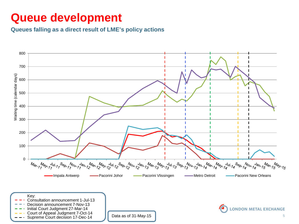#### **Queue development**

#### **Queues falling as a direct result of LME's policy actions**

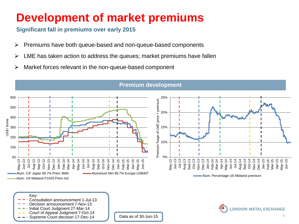### **Development of market premiums**

#### **Significant fall in premiums over early 2015**

- $\triangleright$  Premiums have both queue-based and non-queue-based components
- $\triangleright$  LME has taken action to address the queues; market premiums have fallen
- $\triangleright$  Market forces relevant in the non-queue-based component



#### **Premium development**

Key: Consultation announcement 1-Jul-13 Decision announcement 7-Nov-13 nitial Court Judgment 27-Mar-14 Court of Appeal Judgment 7-Oct-14 Supreme Court decision 17-Dec-14

Data as of 30-Jun-15

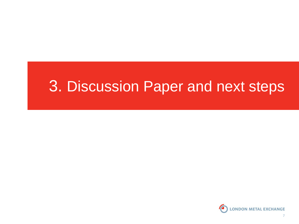## 3. Discussion Paper and next steps

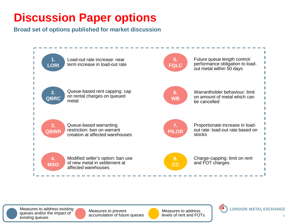### **Discussion Paper options**

**Broad set of options published for market discussion**



Measures to address existing queues and/or the impact of existing queues



Measures to prevent accumulation of future queues Measures to address levels of rent and FOTs

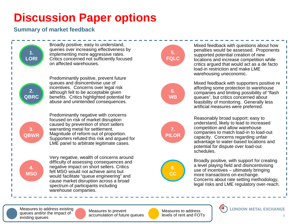### **Discussion Paper options**

**Summary of market feedback**



Measures to address existing queues and/or the impact of existing queues

Measures to prevent accumulation of future queues Measures to address levels of rent and FOTs

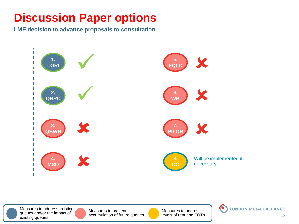### **Discussion Paper options**

**LME decision to advance proposals to consultation**



Measures to address existing queues and/or the impact of existing queues

Measures to prevent accumulation of future queues Measures to address levels of rent and FOTs

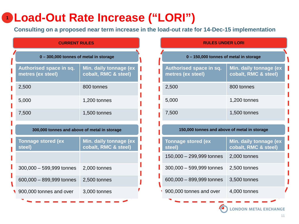### **Load-Out Rate Increase ("LORI") 1**

**Consulting on a proposed near term increase in the load-out rate for 14-Dec-15 implementation**

| <b>CURRENT RULES</b>                           |  |  |  |  |  |
|------------------------------------------------|--|--|--|--|--|
| 0 - 300,000 tonnes of metal in storage         |  |  |  |  |  |
| Min. daily tonnage (ex<br>cobalt, RMC & steel) |  |  |  |  |  |
| 800 tonnes                                     |  |  |  |  |  |
| 1,200 tonnes                                   |  |  |  |  |  |
| 1,500 tonnes                                   |  |  |  |  |  |
| 300,000 tonnes and above of metal in storage   |  |  |  |  |  |
| Min. daily tonnage (ex<br>cobalt, RMC & steel) |  |  |  |  |  |
|                                                |  |  |  |  |  |
| 2,000 tonnes                                   |  |  |  |  |  |
| 2,500 tonnes                                   |  |  |  |  |  |
| 3,000 tonnes                                   |  |  |  |  |  |
|                                                |  |  |  |  |  |

| <b>CURRENT RULES</b>             |                                                | <b>RULES UNDER LORI</b>                      |                                                |
|----------------------------------|------------------------------------------------|----------------------------------------------|------------------------------------------------|
| 0 tonnes of metal in storage     |                                                | 0 - 150,000 tonnes of metal in storage       |                                                |
| e in sq.                         | Min. daily tonnage (ex<br>cobalt, RMC & steel) | Authorised space in sq.<br>metres (ex steel) | Min. daily tonnage (ex<br>cobalt, RMC & steel) |
|                                  | 800 tonnes                                     | 2,500                                        | 800 tonnes                                     |
|                                  | 1,200 tonnes                                   | 5,000                                        | 1,200 tonnes                                   |
|                                  | 1,500 tonnes                                   | 7,500                                        | 1,500 tonnes                                   |
| as and above of metal in storage |                                                | 150,000 tonnes and above of metal in storage |                                                |
|                                  |                                                |                                              |                                                |
| ex                               | Min. daily tonnage (ex<br>cobalt, RMC & steel) | <b>Tonnage stored (ex)</b><br>steel)         | Min. daily tonnage (ex<br>cobalt, RMC & steel) |
|                                  |                                                | 150,000 - 299,999 tonnes                     | 2,000 tonnes                                   |
| d tonnes                         | 2,000 tonnes                                   | $300,000 - 599,999$ tonnes                   | 2,500 tonnes                                   |
| d tonnes                         | 2,500 tonnes                                   | 600,000 - 899,999 tonnes                     | 3,500 tonnes                                   |
| d over                           | 3,000 tonnes                                   | 900,000 tonnes and over                      | 4,000 tonnes                                   |
|                                  |                                                |                                              |                                                |

**LONDON METAL EXCHANGE**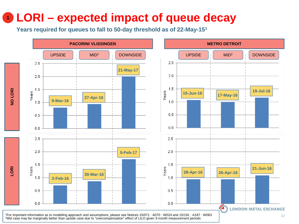### **LORI – expected impact of queue decay 1**

**Years required for queues to fall to 50-day threshold as of 22-May-151**

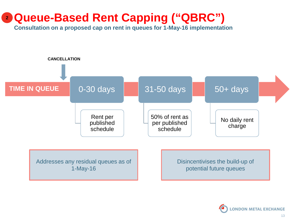#### **Queue-Based Rent Capping ("QBRC") 2**

**Consultation on a proposed cap on rent in queues for 1-May-16 implementation**



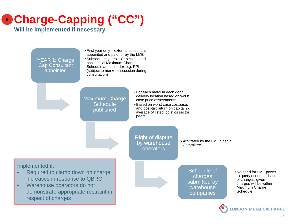## **Charge-Capping ("CC") 8**

**Will be implemented if necessary**

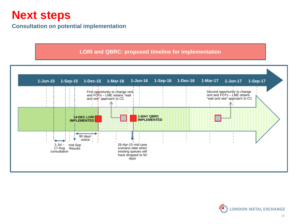#### **Next steps**

#### **Consultation on potential implementation**

#### **LORI and QBRC: proposed timeline for implementation**



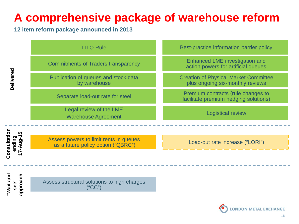### **A comprehensive package of warehouse reform**

#### **12 item reform package announced in 2013**

|                                    | <b>LILO Rule</b>                                                             | Best-practice information barrier policy                                         |
|------------------------------------|------------------------------------------------------------------------------|----------------------------------------------------------------------------------|
| Delivered                          | <b>Commitments of Traders transparency</b>                                   | <b>Enhanced LME investigation and</b><br>action powers for artificial queues     |
|                                    | Publication of queues and stock data<br>by warehouse                         | <b>Creation of Physical Market Committee</b><br>plus ongoing six-monthly reviews |
|                                    | Separate load-out rate for steel                                             | Premium contracts (rule changes to<br>facilitate premium hedging solutions)      |
|                                    | Legal review of the LME<br><b>Warehouse Agreement</b>                        | <b>Logistical review</b>                                                         |
| ທ                                  |                                                                              |                                                                                  |
| Consultation<br>ending<br>17-Aug-1 | Assess powers to limit rents in queues<br>as a future policy option ("QBRC") | Load-out rate increase ("LORI")                                                  |
|                                    |                                                                              |                                                                                  |
|                                    |                                                                              |                                                                                  |
| "Wait and<br>approach<br>see"      | Assess structural solutions to high charges<br>("CC")                        |                                                                                  |
|                                    |                                                                              |                                                                                  |